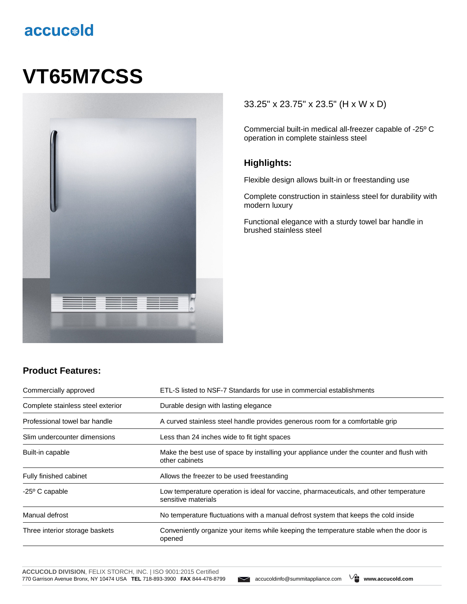# accucold

# **VT65M7CSS**



#### 33.25" x 23.75" x 23.5" (H x W x D)

Commercial built-in medical all-freezer capable of -25º C operation in complete stainless steel

#### **Highlights:**

Flexible design allows built-in or freestanding use

Complete construction in stainless steel for durability with modern luxury

Functional elegance with a sturdy towel bar handle in brushed stainless steel

## **Product Features:**

| Commercially approved             | ETL-S listed to NSF-7 Standards for use in commercial establishments                                          |
|-----------------------------------|---------------------------------------------------------------------------------------------------------------|
| Complete stainless steel exterior | Durable design with lasting elegance                                                                          |
| Professional towel bar handle     | A curved stainless steel handle provides generous room for a comfortable grip                                 |
| Slim undercounter dimensions      | Less than 24 inches wide to fit tight spaces                                                                  |
| Built-in capable                  | Make the best use of space by installing your appliance under the counter and flush with<br>other cabinets    |
| Fully finished cabinet            | Allows the freezer to be used freestanding                                                                    |
| $-25^{\circ}$ C capable           | Low temperature operation is ideal for vaccine, pharmaceuticals, and other temperature<br>sensitive materials |
| Manual defrost                    | No temperature fluctuations with a manual defrost system that keeps the cold inside                           |
| Three interior storage baskets    | Conveniently organize your items while keeping the temperature stable when the door is<br>opened              |

**ACCUCOLD DIVISION**, FELIX STORCH, INC. | ISO 9001:2015 Certified 770 Garrison Avenue Bronx, NY 10474 USA **TEL** 718-893-3900 **FAX** 844-478-8799 accucoldinfo@summitappliance.com **www.accucold.com**